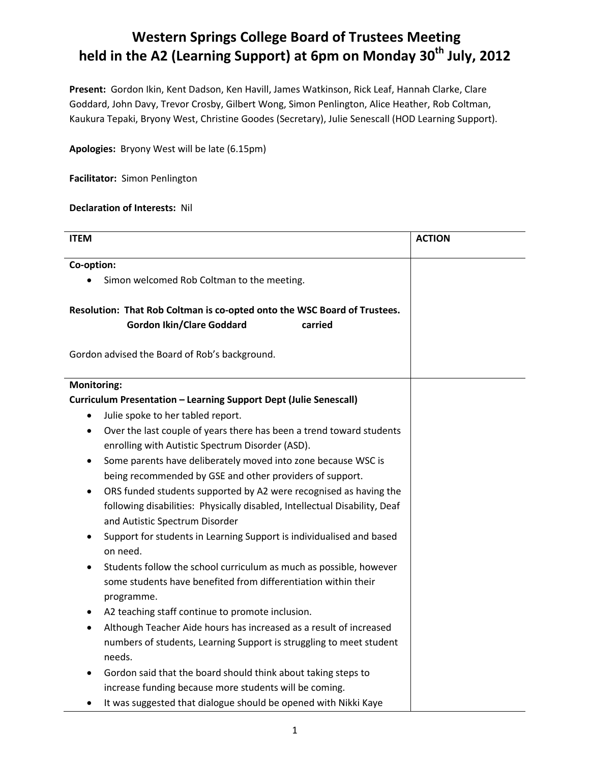## **Western Springs College Board of Trustees Meeting held in the A2 (Learning Support) at 6pm on Monday 30th July, 2012**

**Present:** Gordon Ikin, Kent Dadson, Ken Havill, James Watkinson, Rick Leaf, Hannah Clarke, Clare Goddard, John Davy, Trevor Crosby, Gilbert Wong, Simon Penlington, Alice Heather, Rob Coltman, Kaukura Tepaki, Bryony West, Christine Goodes (Secretary), Julie Senescall (HOD Learning Support).

**Apologies:** Bryony West will be late (6.15pm)

**Facilitator:** Simon Penlington

## **Declaration of Interests:** Nil

| <b>ITEM</b>                                                                     | <b>ACTION</b> |
|---------------------------------------------------------------------------------|---------------|
| Co-option:                                                                      |               |
| Simon welcomed Rob Coltman to the meeting.                                      |               |
|                                                                                 |               |
| Resolution: That Rob Coltman is co-opted onto the WSC Board of Trustees.        |               |
| <b>Gordon Ikin/Clare Goddard</b><br>carried                                     |               |
|                                                                                 |               |
| Gordon advised the Board of Rob's background.                                   |               |
|                                                                                 |               |
| <b>Monitoring:</b>                                                              |               |
| <b>Curriculum Presentation - Learning Support Dept (Julie Senescall)</b>        |               |
| Julie spoke to her tabled report.<br>$\bullet$                                  |               |
| Over the last couple of years there has been a trend toward students<br>٠       |               |
| enrolling with Autistic Spectrum Disorder (ASD).                                |               |
| Some parents have deliberately moved into zone because WSC is<br>$\bullet$      |               |
| being recommended by GSE and other providers of support.                        |               |
| ORS funded students supported by A2 were recognised as having the               |               |
| following disabilities: Physically disabled, Intellectual Disability, Deaf      |               |
| and Autistic Spectrum Disorder                                                  |               |
| Support for students in Learning Support is individualised and based            |               |
| on need.                                                                        |               |
| Students follow the school curriculum as much as possible, however<br>$\bullet$ |               |
| some students have benefited from differentiation within their                  |               |
| programme.                                                                      |               |
| A2 teaching staff continue to promote inclusion.<br>٠                           |               |
| Although Teacher Aide hours has increased as a result of increased<br>$\bullet$ |               |
| numbers of students, Learning Support is struggling to meet student             |               |
| needs.                                                                          |               |
| Gordon said that the board should think about taking steps to                   |               |
| increase funding because more students will be coming.                          |               |
| It was suggested that dialogue should be opened with Nikki Kaye                 |               |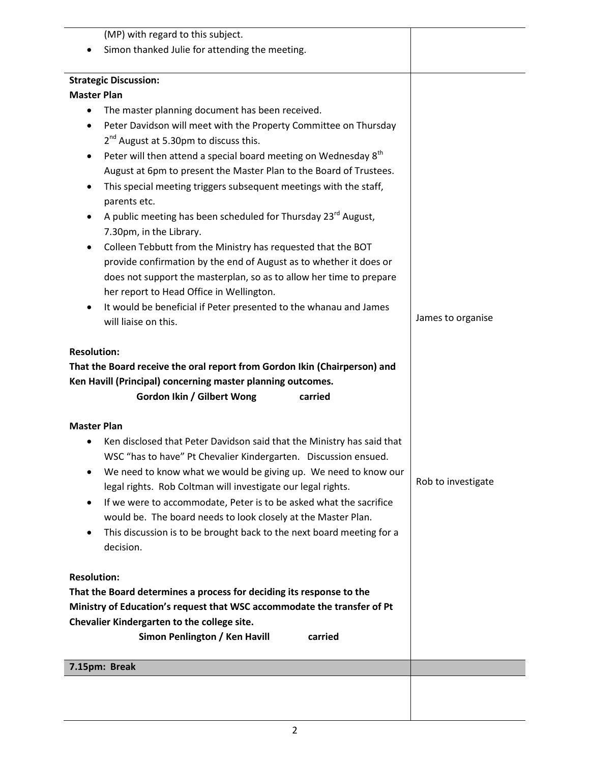| (MP) with regard to this subject.                                                                                                                                                                       |                    |
|---------------------------------------------------------------------------------------------------------------------------------------------------------------------------------------------------------|--------------------|
| Simon thanked Julie for attending the meeting.                                                                                                                                                          |                    |
|                                                                                                                                                                                                         |                    |
| <b>Strategic Discussion:</b>                                                                                                                                                                            |                    |
| <b>Master Plan</b>                                                                                                                                                                                      |                    |
| The master planning document has been received.                                                                                                                                                         |                    |
| Peter Davidson will meet with the Property Committee on Thursday<br>$\bullet$                                                                                                                           |                    |
| 2 <sup>nd</sup> August at 5.30pm to discuss this.                                                                                                                                                       |                    |
| Peter will then attend a special board meeting on Wednesday 8 <sup>th</sup>                                                                                                                             |                    |
| August at 6pm to present the Master Plan to the Board of Trustees.                                                                                                                                      |                    |
| This special meeting triggers subsequent meetings with the staff,<br>٠<br>parents etc.                                                                                                                  |                    |
| A public meeting has been scheduled for Thursday 23 <sup>rd</sup> August,<br>٠                                                                                                                          |                    |
| 7.30pm, in the Library.<br>Colleen Tebbutt from the Ministry has requested that the BOT                                                                                                                 |                    |
| ٠<br>provide confirmation by the end of August as to whether it does or                                                                                                                                 |                    |
| does not support the masterplan, so as to allow her time to prepare                                                                                                                                     |                    |
| her report to Head Office in Wellington.                                                                                                                                                                |                    |
| It would be beneficial if Peter presented to the whanau and James                                                                                                                                       |                    |
| will liaise on this.                                                                                                                                                                                    | James to organise  |
| <b>Resolution:</b><br>That the Board receive the oral report from Gordon Ikin (Chairperson) and<br>Ken Havill (Principal) concerning master planning outcomes.<br>Gordon Ikin / Gilbert Wong<br>carried |                    |
| <b>Master Plan</b>                                                                                                                                                                                      |                    |
| Ken disclosed that Peter Davidson said that the Ministry has said that                                                                                                                                  |                    |
| WSC "has to have" Pt Chevalier Kindergarten. Discussion ensued.                                                                                                                                         |                    |
| We need to know what we would be giving up. We need to know our                                                                                                                                         |                    |
| legal rights. Rob Coltman will investigate our legal rights.                                                                                                                                            | Rob to investigate |
| If we were to accommodate, Peter is to be asked what the sacrifice                                                                                                                                      |                    |
| would be. The board needs to look closely at the Master Plan.                                                                                                                                           |                    |
| This discussion is to be brought back to the next board meeting for a                                                                                                                                   |                    |
| decision.                                                                                                                                                                                               |                    |
| <b>Resolution:</b>                                                                                                                                                                                      |                    |
| That the Board determines a process for deciding its response to the                                                                                                                                    |                    |
| Ministry of Education's request that WSC accommodate the transfer of Pt                                                                                                                                 |                    |
| Chevalier Kindergarten to the college site.                                                                                                                                                             |                    |
| Simon Penlington / Ken Havill<br>carried                                                                                                                                                                |                    |
|                                                                                                                                                                                                         |                    |
| 7.15pm: Break                                                                                                                                                                                           |                    |
|                                                                                                                                                                                                         |                    |
|                                                                                                                                                                                                         |                    |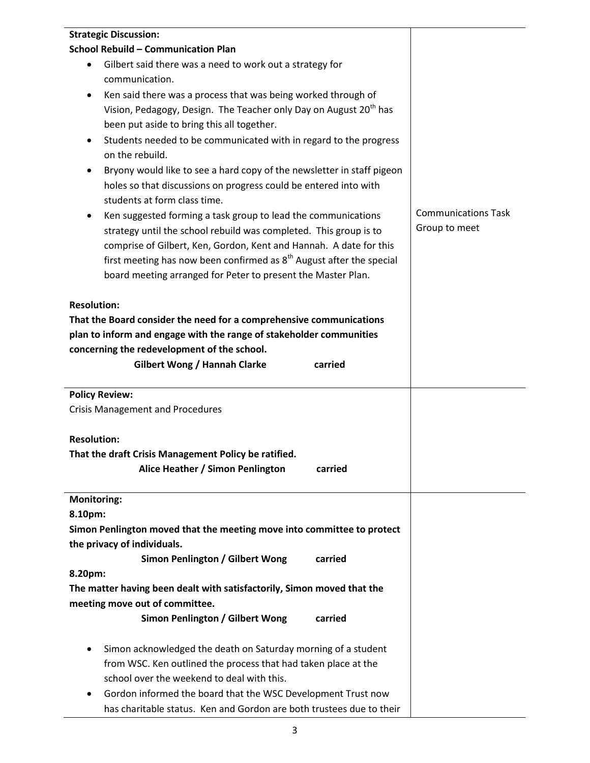| <b>Strategic Discussion:</b>                                                                     |                            |
|--------------------------------------------------------------------------------------------------|----------------------------|
| <b>School Rebuild - Communication Plan</b>                                                       |                            |
| Gilbert said there was a need to work out a strategy for<br>$\bullet$                            |                            |
| communication.                                                                                   |                            |
| Ken said there was a process that was being worked through of                                    |                            |
| Vision, Pedagogy, Design. The Teacher only Day on August 20 <sup>th</sup> has                    |                            |
| been put aside to bring this all together.                                                       |                            |
| Students needed to be communicated with in regard to the progress                                |                            |
| on the rebuild.                                                                                  |                            |
| Bryony would like to see a hard copy of the newsletter in staff pigeon<br>٠                      |                            |
| holes so that discussions on progress could be entered into with<br>students at form class time. |                            |
| Ken suggested forming a task group to lead the communications                                    | <b>Communications Task</b> |
| strategy until the school rebuild was completed. This group is to                                | Group to meet              |
| comprise of Gilbert, Ken, Gordon, Kent and Hannah. A date for this                               |                            |
| first meeting has now been confirmed as $8th$ August after the special                           |                            |
| board meeting arranged for Peter to present the Master Plan.                                     |                            |
| <b>Resolution:</b>                                                                               |                            |
| That the Board consider the need for a comprehensive communications                              |                            |
| plan to inform and engage with the range of stakeholder communities                              |                            |
| concerning the redevelopment of the school.                                                      |                            |
| <b>Gilbert Wong / Hannah Clarke</b><br>carried                                                   |                            |
|                                                                                                  |                            |
| <b>Policy Review:</b>                                                                            |                            |
| <b>Crisis Management and Procedures</b>                                                          |                            |
| <b>Resolution:</b>                                                                               |                            |
| That the draft Crisis Management Policy be ratified.                                             |                            |
| Alice Heather / Simon Penlington<br>carried                                                      |                            |
| <b>Monitoring:</b>                                                                               |                            |
| 8.10pm:                                                                                          |                            |
| Simon Penlington moved that the meeting move into committee to protect                           |                            |
| the privacy of individuals.                                                                      |                            |
| Simon Penlington / Gilbert Wong<br>carried                                                       |                            |
| 8.20pm:                                                                                          |                            |
| The matter having been dealt with satisfactorily, Simon moved that the                           |                            |
| meeting move out of committee.                                                                   |                            |
| Simon Penlington / Gilbert Wong<br>carried                                                       |                            |
| Simon acknowledged the death on Saturday morning of a student<br>$\bullet$                       |                            |
| from WSC. Ken outlined the process that had taken place at the                                   |                            |
| school over the weekend to deal with this.                                                       |                            |
| Gordon informed the board that the WSC Development Trust now<br>٠                                |                            |
| has charitable status. Ken and Gordon are both trustees due to their                             |                            |